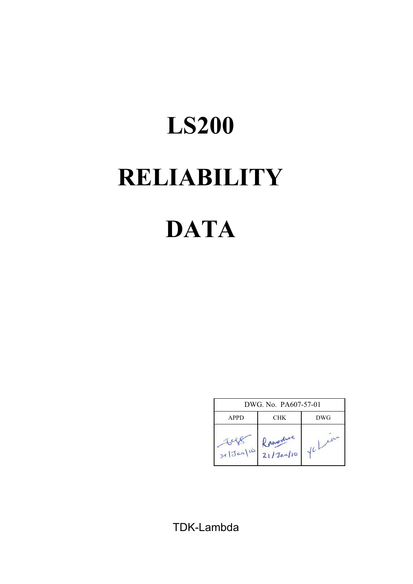# **RELIABILITY DATA LS200**

|             | DWG, No. PA607-57-01        |     |
|-------------|-----------------------------|-----|
| <b>APPD</b> | CHK                         | DWG |
| x 3an110    | governo<br>$21/3a\sqrt{10}$ |     |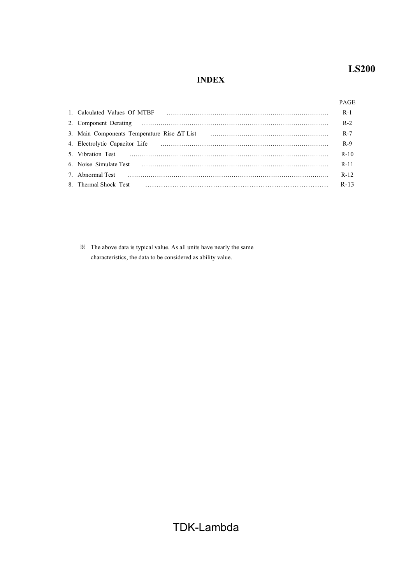# **INDEX**

## PAGE

| 1. Calculated Values Of MTBF                                                                                                                                     |        |
|------------------------------------------------------------------------------------------------------------------------------------------------------------------|--------|
|                                                                                                                                                                  | $R-2$  |
|                                                                                                                                                                  | $R-7$  |
|                                                                                                                                                                  | $R-9$  |
|                                                                                                                                                                  | $R-10$ |
|                                                                                                                                                                  | $R-11$ |
| 7. Abnormal Test $\cdots$ $\cdots$ $\cdots$ $\cdots$ $\cdots$ $\cdots$ $\cdots$ $\cdots$ $\cdots$ $\cdots$ $\cdots$ $\cdots$ $\cdots$ $\cdots$ $\cdots$ $\cdots$ | $R-12$ |
|                                                                                                                                                                  | $R-13$ |

 $\mathbb X$  The above data is typical value. As all units have nearly the same characteristics, the data to be considered as ability value.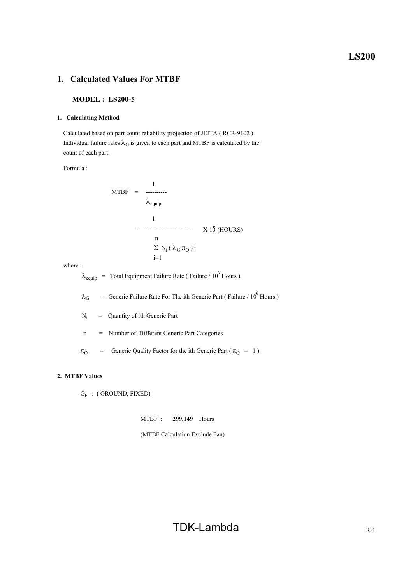## **1. Calculated Values For MTBF**

#### **MODEL : LS200-5**

#### **1. Calculating Method**

 Calculated based on part count reliability projection of JEITA ( RCR-9102 ). Individual failure rates  $\lambda_G$  is given to each part and MTBF is calculated by the count of each part.

Formula :

$$
MTBF = \frac{1}{\lambda_{\text{equip}}}
$$
  
= 
$$
\frac{1}{\lambda_{\text{equip}}}
$$
  
= 
$$
\frac{1}{\sum N_i (\lambda_G \pi_Q) i}
$$
  
= 1

where :

 $\lambda_{\text{equip}}$  = Total Equipment Failure Rate (Failure / 10<sup>6</sup> Hours)

 $\lambda_G$  = Generic Failure Rate For The ith Generic Part (Failure / 10<sup>6</sup> Hours)

 Ni = Quantity of ith Generic Part

n = Number of Different Generic Part Categories

 $\pi_{\text{Q}}$  = Generic Quality Factor for the ith Generic Part ( $\pi_{\text{Q}}$  = 1)

#### **2. MTBF Values**

 $G_F$  : (GROUND, FIXED)

MTBF : **299,149** Hours

(MTBF Calculation Exclude Fan)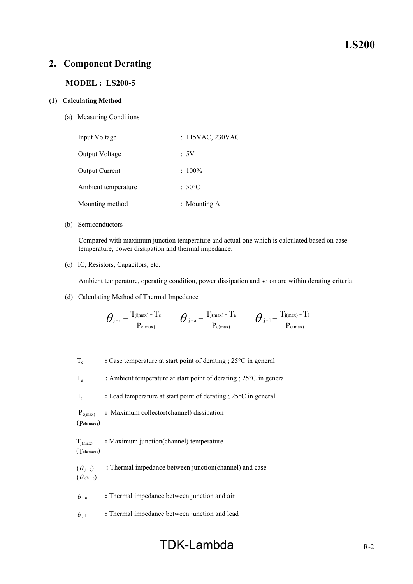# **MODEL : LS200-5**

## **(1) Calculating Method**

(a) Measuring Conditions

| Input Voltage       | : 115VAC, 230VAC |
|---------------------|------------------|
| Output Voltage      | :5V              |
| Output Current      | $: 100\%$        |
| Ambient temperature | $:50^{\circ}$ C  |
| Mounting method     | : Mounting $A$   |

#### (b) Semiconductors

 Compared with maximum junction temperature and actual one which is calculated based on case temperature, power dissipation and thermal impedance.

(c) IC, Resistors, Capacitors, etc.

Ambient temperature, operating condition, power dissipation and so on are within derating criteria.

(d) Calculating Method of Thermal Impedance

$$
\boldsymbol{\theta}_{\text{j-c}} = \frac{T_{\text{j}(\text{max})}-T_{\text{c}}}{P_{\text{c}(\text{max})}} \qquad \boldsymbol{\theta}_{\text{j-a}} = \frac{T_{\text{j}(\text{max})}-T_{\text{a}}}{P_{\text{c}(\text{max})}} \qquad \boldsymbol{\theta}_{\text{j-1}} = \frac{T_{\text{j}(\text{max})}-T_{\text{l}}}{P_{\text{c}(\text{max})}}
$$

T<sub>c</sub> : Case temperature at start point of derating ; 25<sup>o</sup>C in general

Ta **:** Ambient temperature at start point of derating ; 25°C in general

Tj **:** Lead temperature at start point of derating ; 25°C in general

 Pc(max) **:** Maximum collector(channel) dissipation (Pch**(**max**)**)

Tj(max) **:** Maximum junction(channel) temperature (Tch**(**max**)**)

 $(\theta_{i-s})$  **:** Thermal impedance between junction(channel) and case  $(\theta_{ch-c})$ 

 $\theta_{j-a}$  **:** Thermal impedance between junction and air

 $\theta_{i-1}$  : Thermal impedance between junction and lead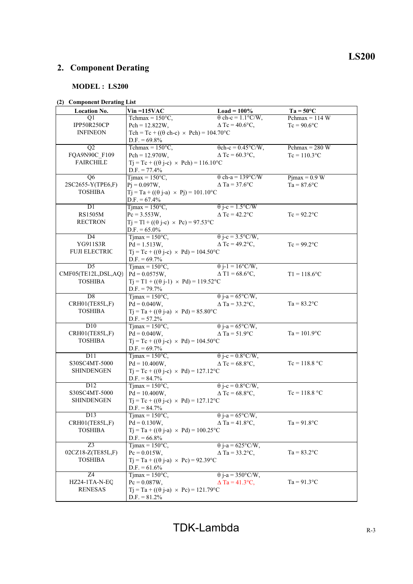# **MODEL : LS200**

## **(2) Component Derating List**

| <b>Location No.</b>  | $V$ in =115 $VAC$                                          | $Load = 100\%$                    | $Ta = 50^{\circ}C$ |
|----------------------|------------------------------------------------------------|-----------------------------------|--------------------|
| Ql                   | Tchmax = $150^{\circ}$ C,                                  | $\theta$ ch-c = 1.1°C/W,          | Pchmax = $114 W$   |
| IPP50R250CP          | $Pch = 12.822W,$                                           | $\Delta$ Tc = 40.6°C,             | $Tc = 90.6$ °C     |
| <b>INFINEON</b>      | Tch = Tc + (( $\theta$ ch-c) × Pch) = 104.70°C             |                                   |                    |
|                      | $D.F. = 69.8\%$                                            |                                   |                    |
| Q2                   | Tchmax = $150^{\circ}$ C,                                  | $\theta$ ch-c = 0.45°C/W,         | Pchmax = $280 W$   |
| FQA9N90C F109        | $Pch = 12.970W,$                                           | $\Delta$ Tc = 60.3°C,             | $Tc = 110.3$ °C    |
| <b>FAIRCHILD</b>     | $Tj = Tc + ((\theta j-c) \times Pch) = 116.10^{\circ}C$    |                                   |                    |
|                      | $D.F. = 77.4\%$                                            |                                   |                    |
| Q <sub>6</sub>       | $T$ jmax = 150 $\degree$ C,                                | $\theta$ ch-a = 139°C/W           | $P$ jmax = 0.9 W   |
| 2SC2655-Y(TPE6,F)    | $Pj = 0.097W,$                                             | $\Delta$ Ta = 37.6°C              | $Ta = 87.6$ °C     |
| <b>TOSHIBA</b>       | $Tj = Ta + ((\theta j - a) \times Pj) = 101.10^{\circ}C$   |                                   |                    |
|                      | $D.F. = 67.4\%$                                            |                                   |                    |
| DI                   | $Tjmax = 150^{\circ}C,$                                    | $\theta$ j-c = 1.5°C/W            |                    |
| <b>RS1505M</b>       | $Pc = 3.553W,$                                             | $\triangle$ Tc = 42.2 $\degree$ C | $Tc = 92.2$ °C     |
| <b>RECTRON</b>       | $Tj = Tl + ((\theta j-c) \times Pc) = 97.53$ °C            |                                   |                    |
|                      | $D.F. = 65.0\%$                                            |                                   |                    |
| D4                   | $T$ jmax = 150 $\degree$ C,                                | $\theta$ j-c = 3.5°C/W,           |                    |
| YG911S3R             | $Pd = 1.513W,$                                             | $\Delta$ Tc = 49.2°C,             | $Tc = 99.2$ °C     |
| <b>FUJI ELECTRIC</b> | $T_1 = T_c + ((\theta i - c) \times Pd) = 104.50^{\circ}C$ |                                   |                    |
|                      | $D.F. = 69.7\%$                                            |                                   |                    |
| $\overline{D5}$      | $T$ jmax = 150 $\rm{^{\circ}C}$ ,                          | $\theta$ j-1 = 16°C/W,            |                    |
| CMF05(TE12L,DSL,AQ)  | $Pd = 0.0575W$ ,                                           | $\Delta$ T1 = 68.6°C,             | $T1 = 118.6$ °C    |
| <b>TOSHIBA</b>       | $Tj = T1 + ((\theta j-1) \times Pd) = 119.52^{\circ}C$     |                                   |                    |
|                      | $D.F. = 79.7\%$                                            |                                   |                    |
| $\overline{D8}$      | $T$ jmax = 150 $\degree$ C,                                | $\theta$ j-a = 65°C/W,            |                    |
| CRH01(TE85L,F)       | $Pd = 0.040W,$                                             | $\triangle$ Ta = 33.2°C,          | $Ta = 83.2$ °C     |
| <b>TOSHIBA</b>       | $Tj = Ta + ((\theta j-a) \times Pd) = 85.80^{\circ}C$      |                                   |                    |
|                      | $D.F. = 57.2\%$                                            |                                   |                    |
| D10                  | $T$ jmax = 150 $\degree$ C,                                | $\theta$ j-a = 65°C/W,            |                    |
| CRH01(TE85L,F)       | $Pd = 0.040W,$                                             | $\Delta$ Ta = 51.9°C              | $Ta = 101.9$ °C    |
| <b>TOSHIBA</b>       | $Tj = Tc + ((\theta j - c) \times Pd) = 104.50^{\circ}C$   |                                   |                    |
|                      | $D.F. = 69.7\%$                                            |                                   |                    |
| D <sub>11</sub>      | $Tjmax = 150°C,$                                           | $\theta$ j-c = 0.8°C/W,           |                    |
| S30SC4MT-5000        | $Pd = 10.400W,$                                            | $\Delta$ Tc = 68.8°C,             | $Tc = 118.8 °C$    |
| <b>SHINDENGEN</b>    | $Tj = Tc + ((\theta j - c) \times Pd) = 127.12$ °C         |                                   |                    |
|                      | $D.F. = 84.7\%$                                            |                                   |                    |
| D <sub>12</sub>      | Timax = $150^{\circ}$ C,                                   | $\theta$ j-c = 0.8°C/W,           |                    |
| S30SC4MT-5000        | $Pd = 10.400W$ ,                                           | $\Delta$ Tc = 68.8°C,             | $Tc = 118.8 °C$    |
| <b>SHINDENGEN</b>    | $Tj = Tc + ((\theta j-c) \times Pd) = 127.12^{\circ}C$     |                                   |                    |
|                      | $D.F. = 84.7\%$                                            |                                   |                    |
| $\overline{D13}$     | $Tjmax = 150^{\circ}C,$                                    | $\theta$ j-a = 65°C/W,            |                    |
| CRH01(TE85L,F)       | $Pd = 0.130W$ ,                                            | $\Delta$ Ta = 41.8°C,             | $Ta = 91.8$ °C     |
| <b>TOSHIBA</b>       | $Tj = Ta + ((\theta j-a) \times Pd) = 100.25^{\circ}C$     |                                   |                    |
|                      | $D.F. = 66.8\%$                                            |                                   |                    |
| $Z_3$                | $T$ jmax = 150 $\degree$ C,                                | $\theta$ j-a = 625°C/W,           |                    |
| 02CZ18-Z(TE85L,F)    | $Pc = 0.015W,$                                             | $\triangle$ Ta = 33.2°C,          | $Ta = 83.2$ °C     |
| <b>TOSHIBA</b>       | $Tj = Ta + ((\theta j-a) \times Pc) = 92.39^{\circ}C$      |                                   |                    |
|                      | $D.F. = 61.6\%$                                            |                                   |                    |
| Z <sub>4</sub>       | Tjmax = $150^{\circ}$ C,                                   | $\theta$ j-a = 350°C/W,           |                    |
| HZ24-1TA-N-EQ        | $Pc = 0.087W,$                                             | $\Delta$ Ta = 41.3°C,             | $Ta = 91.3$ °C     |
| <b>RENESAS</b>       | $Tj = Ta + ((\theta j-a) \times Pc) = 121.79^{\circ}C$     |                                   |                    |
|                      | $D.F. = 81.2\%$                                            |                                   |                    |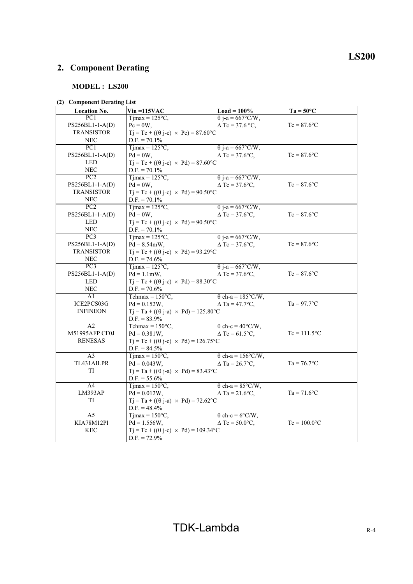# **MODEL : LS200**

## **(2) Component Derating List**

| <b>Location No.</b> | $V$ in =115 $VAC$                                        | $Load = 100\%$           | $Ta = 50^{\circ}C$          |
|---------------------|----------------------------------------------------------|--------------------------|-----------------------------|
| PC <sub>1</sub>     | $T$ jmax = 125 $\degree$ C,                              | $\theta$ j-a = 667°C/W,  |                             |
| PS256BL1-1-A(D)     | $Pc = 0W$ ,                                              | $\Delta$ Tc = 37.6 °C.   | $Tc = 87.6$ °C              |
| <b>TRANSISTOR</b>   | $Tj = Tc + ((\theta j - c) \times Pc) = 87.60^{\circ}C$  |                          |                             |
| <b>NEC</b>          | $D.F. = 70.1\%$                                          |                          |                             |
| $\overline{PC1}$    | $Tijmax = 125°C$ ,                                       | $\theta$ j-a = 667°C/W,  |                             |
| PS256BL1-1-A(D)     | $Pd = 0W$ ,                                              | $\Delta$ Tc = 37.6°C,    | $Tc = 87.6$ °C              |
| <b>LED</b>          | $Tj = Tc + ((\theta j - c) \times Pd) = 87.60^{\circ}C$  |                          |                             |
| <b>NEC</b>          | $D.F. = 70.1\%$                                          |                          |                             |
| PC2                 | $T1max = 125°C$ ,                                        | $\theta$ j-a = 667°C/W,  |                             |
| PS256BL1-1-A(D)     | $Pd = 0W,$                                               | $\Delta$ Tc = 37.6°C,    | $Tc = 87.6$ °C              |
| <b>TRANSISTOR</b>   | $Tj = Tc + ((\theta j - c) \times Pd) = 90.50^{\circ}C$  |                          |                             |
| <b>NEC</b>          | $D.F. = 70.1\%$                                          |                          |                             |
| $\overline{PC2}$    | $Tijmax = 125°C$ ,                                       | $\theta$ j-a = 667°C/W,  |                             |
| PS256BL1-1-A(D)     | $Pd = 0W,$                                               | $\Delta$ Tc = 37.6°C,    | $Tc = 87.6$ °C              |
| <b>LED</b>          | $Tj = Tc + ((\theta j - c) \times Pd) = 90.50^{\circ}C$  |                          |                             |
| <b>NEC</b>          | $D.F. = 70.1\%$                                          |                          |                             |
| PC3                 | $T$ jmax = 125 $\degree$ C,                              | $\theta$ j-a = 667°C/W,  |                             |
| PS256BL1-1-A(D)     | $Pd = 8.54mW,$                                           | $\Delta$ Tc = 37.6°C,    | $Tc = 87.6$ °C              |
| <b>TRANSISTOR</b>   | $Tj = Tc + ((\theta j - c) \times Pd) = 93.29$ °C        |                          |                             |
| <b>NEC</b>          | $D.F. = 74.6\%$                                          |                          |                             |
| PC3                 | Timax = $125^{\circ}$ C,                                 | $\theta$ j-a = 667°C/W,  |                             |
| $PS256BL1-1-A(D)$   | $Pd = 1.1mW,$                                            | $\Delta$ Tc = 37.6°C,    | $Tc = 87.6$ °C              |
| <b>LED</b>          | $Tj = Tc + ((\theta j-c) \times Pd) = 88.30^{\circ}C$    |                          |                             |
| <b>NEC</b>          | $D.F. = 70.6\%$                                          |                          |                             |
| A1                  | Tchmax = $150^{\circ}$ C,                                | $\theta$ ch-a = 185°C/W, |                             |
| ICE2PCS03G          | $Pd = 0.152W$ ,                                          | $\Delta$ Ta = 47.7°C,    | $Ta = 97.7$ °C              |
| <b>INFINEON</b>     | $Tj = Ta + ((\theta j - a) \times Pd) = 125.80^{\circ}C$ |                          |                             |
|                     | $D.F. = 83.9\%$                                          |                          |                             |
| A2                  | Tchmax = $150^{\circ}$ C,                                | $\theta$ ch-c = 40°C/W,  |                             |
| M51995AFP CF0J      | $Pd = 0.381W,$                                           | $\Delta$ Tc = 61.5°C,    | $Tc = 111.5$ <sup>o</sup> C |
| <b>RENESAS</b>      | $Tj = Tc + ((\theta j - c) \times Pd) = 126.75^{\circ}C$ |                          |                             |
|                     | $D.F. = 84.5\%$                                          |                          |                             |
| $\overline{A3}$     | Timax = $150^{\circ}$ C.                                 | $\theta$ ch-a = 156°C/W, |                             |
| TL431AILPR          | $Pd = 0.043W$ ,                                          | $\Delta$ Ta = 26.7°C,    | $Ta = 76.7$ °C              |
| TI                  | $Tj = Ta + ((\theta j-a) \times Pd) = 83.43^{\circ}C$    |                          |                             |
|                     | $D.F. = 55.6\%$                                          |                          |                             |
| A <sup>4</sup>      | $T$ jmax = 150 $\degree$ C,                              | $\theta$ ch-a = 85°C/W,  |                             |
| LM393AP             | $Pd = 0.012W$ ,                                          | $\Delta$ Ta = 21.6°C,    | $Ta = 71.6$ °C              |
| <b>TI</b>           | $Tj = Ta + ((\theta j-a) \times Pd) = 72.62$ °C          |                          |                             |
|                     | $D.F. = 48.4\%$                                          |                          |                             |
| A5                  | $T$ jmax = 150 $\degree$ C,                              | $\theta$ ch-c = 6°C/W,   |                             |
| KIA78M12Pl          | $Pd = 1.556W,$                                           | $\Delta$ Tc = 50.0°C,    | $Tc = 100.0$ °C             |
| KEC                 | $Tj = Tc + ((\theta j-c) \times Pd) = 109.34$ °C         |                          |                             |
|                     | $D.F. = 72.9\%$                                          |                          |                             |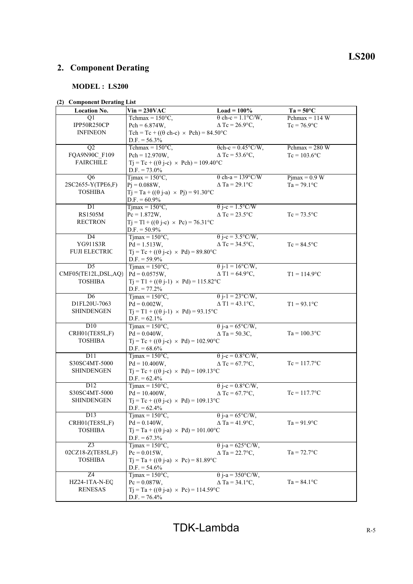# **MODEL : LS200**

# **(2) Component Derating List**

| <b>Location No.</b> | $Vin = 230VAC$                                            | Load = $100\%$            | $Ta = 50^{\circ}C$ |
|---------------------|-----------------------------------------------------------|---------------------------|--------------------|
| Q1                  | Tchmax = $150^{\circ}$ C,                                 | $\theta$ ch-c = 1.1°C/W,  | Pchmax = $114$ W   |
| IPP50R250CP         | $Pch = 6.874W,$                                           | $\Delta$ Tc = 26.9°C,     | $Tc = 76.9$ °C     |
| <b>INFINEON</b>     | Tch = Tc + (( $\theta$ ch-c) × Pch) = 84.50°C             |                           |                    |
|                     | $D.F. = 56.3\%$                                           |                           |                    |
| Q2                  | Tchmax = $150^{\circ}$ C,                                 | $\theta$ ch-c = 0.45°C/W, | Pchmax = $280 W$   |
| FQA9N90C F109       | $Pch = 12.970W$ ,                                         | $\Delta$ Tc = 53.6°C,     | $Tc = 103.6$ °C    |
| <b>FAIRCHILD</b>    | $Tj = Tc + ((\theta j - c) \times Pch) = 109.40^{\circ}C$ |                           |                    |
|                     | $D.F. = 73.0\%$                                           |                           |                    |
| Q <sub>6</sub>      | $T$ jmax = 150 $\degree$ C,                               | $\theta$ ch-a = 139°C/W   | $Pjmax = 0.9 W$    |
| 2SC2655-Y(TPE6,F)   | $Pj = 0.088W,$                                            | $\Delta$ Ta = 29.1°C      | $Ta = 79.1$ °C     |
| <b>TOSHIBA</b>      | $Tj = Ta + ((\theta j-a) \times Pj) = 91.30^{\circ}C$     |                           |                    |
|                     | $D.F. = 60.9\%$                                           |                           |                    |
| DI                  | $Tjmax = 150^{\circ}C$ ,                                  | $\theta$ j-c = 1.5°C/W    |                    |
| <b>RS1505M</b>      | $Pc = 1.872W,$                                            | $\triangle$ Tc = 23.5°C   | $Tc = 73.5$ °C     |
| <b>RECTRON</b>      | $Tj = Tl + ((\theta j-c) \times Pc) = 76.31^{\circ}C$     |                           |                    |
|                     | $D.F. = 50.9\%$                                           |                           |                    |
| D4                  | $T$ jmax = 150 $\degree$ C,                               | $\theta$ j-c = 3.5°C/W,   |                    |
| YG911S3R            | $Pd = 1.513W$ ,                                           | $\Delta$ Tc = 34.5°C,     | $Tc = 84.5$ °C     |
| FUJI ELECTRIC       | $Tj = Tc + ((\theta j - c) \times Pd) = 89.80^{\circ}C$   |                           |                    |
|                     | $D.F. = 59.9\%$                                           |                           |                    |
| $\overline{D5}$     | $Tjmax = 150^{\circ}C$ ,                                  | $\theta$ j-1 = 16°C/W,    |                    |
| CMF05(TE12L,DSL,AQ) | $Pd = 0.0575W$ ,                                          | $\Delta$ T1 = 64.9°C,     | $T1 = 114.9$ °C    |
| <b>TOSHIBA</b>      | $Tj = T1 + ((\theta j-1) \times Pd) = 115.82^{\circ}C$    |                           |                    |
|                     | $D.F. = 77.2\%$                                           |                           |                    |
| $\overline{D6}$     | $T$ jmax = 150 $\degree$ C,                               | $\theta$ j-1 = 23°C/W,    |                    |
| D1FL20U-7063        | $Pd = 0.002W,$                                            | $\Delta$ T1 = 43.1°C,     | $T1 = 93.1$ °C     |
| <b>SHINDENGEN</b>   | $Tj = T1 + ((\theta j-1) \times Pd) = 93.15^{\circ}C$     |                           |                    |
|                     | $D.F. = 62.1\%$                                           |                           |                    |
| D10                 | $T$ jmax = 150 $\degree$ C,                               | $\theta$ j-a = 65°C/W,    |                    |
| CRH01(TE85L,F)      | $Pd = 0.040W,$                                            | $\Delta$ Ta = 50.3C,      | $Ta = 100.3$ °C    |
| <b>TOSHIBA</b>      | $Tj = Tc + ((\theta j - c) \times Pd) = 102.90^{\circ}C$  |                           |                    |
|                     | $D.F. = 68.6\%$                                           |                           |                    |
| D <sub>11</sub>     | $T$ jmax = 150 $\degree$ C,                               | $\theta$ j-c = 0.8°C/W,   |                    |
| S30SC4MT-5000       | $Pd = 10.400W,$                                           | $\Delta$ Tc = 67.7°C,     | $Tc = 117.7$ °C    |
| <b>SHINDENGEN</b>   | $Tj = Tc + ((\theta j-c) \times Pd) = 109.13$ °C          |                           |                    |
|                     | $D.F. = 62.4\%$                                           |                           |                    |
| D12                 | $T$ jmax = 150 $\degree$ C,                               | $\theta$ j-c = 0.8°C/W,   |                    |
| S30SC4MT-5000       | $Pd = 10.400W$ ,                                          | $\Delta$ Tc = 67.7°C,     | $Tc = 117.7$ °C    |
| <b>SHINDENGEN</b>   | $Tj = Tc + ((\theta j-c) \times Pd) = 109.13$ °C          |                           |                    |
|                     | $D.F. = 62.4\%$                                           |                           |                    |
| D13                 | Tjmax = $150^{\circ}$ C,                                  | $\theta$ j-a = 65°C/W,    |                    |
| CRH01(TE85L,F)      | $Pd = 0.140W$ ,                                           | $\Delta$ Ta = 41.9°C,     | $Ta = 91.9$ °C     |
| <b>TOSHIBA</b>      | $Tj = Ta + ((\theta j-a) \times Pd) = 101.00^{\circ}C$    |                           |                    |
|                     | $D.F. = 67.3\%$                                           |                           |                    |
| $\overline{Z}3$     | $T$ jmax = 150 $\degree$ C,                               | $\theta$ j-a = 625°C/W,   |                    |
| 02CZ18-Z(TE85L,F)   | $Pc = 0.015W,$                                            | $\Delta$ Ta = 22.7°C,     | $Ta = 72.7$ °C     |
| <b>TOSHIBA</b>      | $Tj = Ta + ((\theta j-a) \times Pc) = 81.89^{\circ}C$     |                           |                    |
|                     | $D.F. = 54.6\%$                                           |                           |                    |
| Z4                  | Tjmax = $150^{\circ}$ C,                                  | $\theta$ j-a = 350°C/W,   |                    |
| HZ24-1TA-N-EQ       | $Pc = 0.087W,$                                            | $\Delta$ Ta = 34.1°C,     | $Ta = 84.1$ °C     |
| <b>RENESAS</b>      | $Tj = Ta + ((\theta j-a) \times Pc) = 114.59^{\circ}C$    |                           |                    |
|                     | $D.F. = 76.4\%$                                           |                           |                    |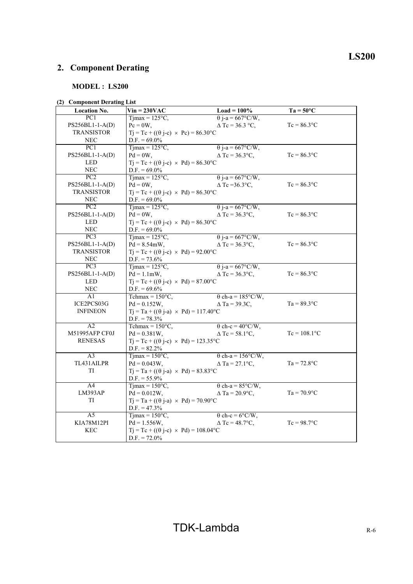# **MODEL : LS200**

## **(2) Component Derating List**

| <b>Location No.</b> | $Vin = 230VAC$                                           | $Load = 100\%$           | $Ta = 50^{\circ}C$ |
|---------------------|----------------------------------------------------------|--------------------------|--------------------|
| PC1                 | $Tjmax = 125°C,$                                         | $\theta$ j-a = 667°C/W,  |                    |
| PS256BL1-1-A(D)     | $Pc = 0W$ ,                                              | $\Delta$ Tc = 36.3 °C,   | $Tc = 86.3$ °C     |
| <b>TRANSISTOR</b>   | $Tj = Tc + ((\theta j - c) \times Pc) = 86.30^{\circ}C$  |                          |                    |
| <b>NEC</b>          | $D.F. = 69.0\%$                                          |                          |                    |
| $\overline{PC1}$    | $Tijmax = 125°C$ ,                                       | $\theta$ j-a = 667°C/W,  |                    |
| PS256BL1-1-A(D)     | $Pd = 0W$ ,                                              | $\Delta$ Tc = 36.3°C,    | $Tc = 86.3$ °C     |
| <b>LED</b>          | $Tj = Tc + ((\theta j - c) \times Pd) = 86.30^{\circ}C$  |                          |                    |
| <b>NEC</b>          | $D.F. = 69.0\%$                                          |                          |                    |
| PC2                 | $T$ jmax = 125 $\degree$ C,                              | $\theta$ j-a = 667°C/W,  |                    |
| PS256BL1-1-A(D)     | $Pd = 0W$ ,                                              | $\Delta$ Tc = 36.3°C,    | $Tc = 86.3$ °C     |
| <b>TRANSISTOR</b>   | $Tj = Tc + ((\theta j - c) \times Pd) = 86.30^{\circ}C$  |                          |                    |
| <b>NEC</b>          | $D.F. = 69.0\%$                                          |                          |                    |
| PC2                 | $Tjmax = 125°C$ ,                                        | $\theta$ j-a = 667°C/W,  |                    |
| PS256BL1-1-A(D)     | $Pd = 0W$ ,                                              | $\Delta$ Tc = 36.3°C,    | $Tc = 86.3$ °C     |
| <b>LED</b>          | $Tj = Tc + ((\theta j - c) \times Pd) = 86.30^{\circ}C$  |                          |                    |
| <b>NEC</b>          | $D.F. = 69.0\%$                                          |                          |                    |
| PC3                 | Tjmax = $125^{\circ}$ C,                                 | $\theta$ j-a = 667°C/W,  |                    |
| PS256BL1-1-A(D)     | $Pd = 8.54 \text{mW}$ ,                                  | $\Delta$ Tc = 36.3°C,    | $Tc = 86.3$ °C     |
| <b>TRANSISTOR</b>   | $Tj = Tc + ((\theta j - c) \times Pd) = 92.00^{\circ}C$  |                          |                    |
| <b>NEC</b>          | $D.F. = 73.6\%$                                          |                          |                    |
| $\overline{PC3}$    | $T$ jmax = 125 $\degree$ C,                              | $\theta$ j-a = 667°C/W,  |                    |
| PS256BL1-1-A(D)     | $Pd = 1.1$ mW,                                           | $\Delta$ Tc = 36.3°C,    | $Tc = 86.3$ °C     |
| LED                 | $Tj = Tc + ((\theta j - c) \times Pd) = 87.00^{\circ}C$  |                          |                    |
| <b>NEC</b>          | $D.F. = 69.6\%$                                          |                          |                    |
| A1                  | Tchmax = $150^{\circ}$ C,                                | $\theta$ ch-a = 185°C/W, |                    |
| ICE2PCS03G          | $Pd = 0.152W$ ,                                          | $\triangle$ Ta = 39.3C,  | $Ta = 89.3$ °C     |
| <b>INFINEON</b>     | $Tj = Ta + ((\theta j-a) \times Pd) = 117.40^{\circ}C$   |                          |                    |
|                     | $D.F. = 78.3\%$                                          |                          |                    |
| A2                  | Tchmax = $150^{\circ}$ C,                                | $\theta$ ch-c = 40°C/W,  |                    |
| M51995AFP CF0J      | $Pd = 0.381W$ ,                                          | $\Delta$ Tc = 58.1°C,    | $Tc = 108.1$ °C    |
| <b>RENESAS</b>      | $Tj = Tc + ((\theta j - c) \times Pd) = 123.35^{\circ}C$ |                          |                    |
|                     | $D.F. = 82.2\%$                                          |                          |                    |
| $\overline{A3}$     | $T1max = 150°C$ ,                                        | $\theta$ ch-a = 156°C/W, |                    |
| TL431AILPR          | $Pd = 0.043W,$                                           | $\Delta$ Ta = 27.1°C,    | $Ta = 72.8$ °C     |
| TI                  | $Tj = Ta + ((\theta j-a) \times Pd) = 83.83^{\circ}C$    |                          |                    |
|                     | $D.F. = 55.9\%$                                          |                          |                    |
| A <sup>4</sup>      | $T$ jmax = 150 $\degree$ C,                              | $\theta$ ch-a = 85°C/W,  |                    |
| LM393AP             | $Pd = 0.012W,$                                           | $\Delta$ Ta = 20.9°C,    | $Ta = 70.9$ °C     |
| TI                  | $Tj = Ta + ((\theta j - a) \times Pd) = 70.90^{\circ}C$  |                          |                    |
|                     | $D.F. = 47.3\%$                                          |                          |                    |
| $\overline{A5}$     | $T$ jmax = 150 $\degree$ C,                              | $\theta$ ch-c = 6°C/W,   |                    |
| KIA78M12Pl          | $Pd = 1.556W,$                                           | $\Delta$ Tc = 48.7°C,    | $Tc = 98.7$ °C     |
| KEC                 | $Tj = Tc + ((\theta j - c) \times Pd) = 108.04$ °C       |                          |                    |
|                     | $D.F. = 72.0\%$                                          |                          |                    |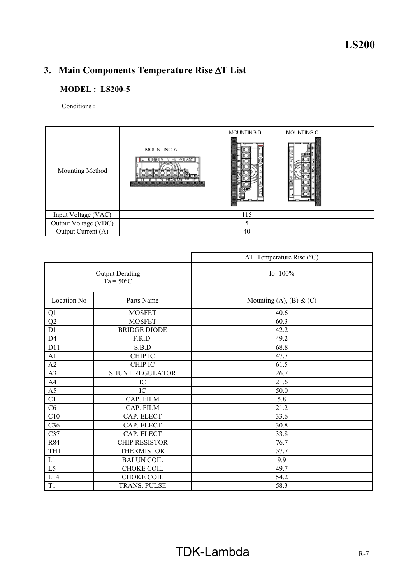# 3. Main Components Temperature Rise  $\Delta T$  List

# **MODEL : LS200-5**

Conditions :

| Mounting Method      | <b>MOUNTING A</b><br>N  ④ -V -V +V +V   V & T | <b>MOUNTING B</b> | MOUNTING C |
|----------------------|-----------------------------------------------|-------------------|------------|
| Input Voltage (VAC)  |                                               | 115               |            |
| Output Voltage (VDC) |                                               |                   |            |
| Output Current (A)   |                                               | 40                |            |

|                 |                                              | $\Delta T$ Temperature Rise (°C) |
|-----------------|----------------------------------------------|----------------------------------|
|                 | <b>Output Derating</b><br>$Ta = 50^{\circ}C$ | $Io=100\%$                       |
| Location No     | Parts Name                                   | Mounting $(A)$ , $(B)$ & $(C)$   |
| Q1              | <b>MOSFET</b>                                | 40.6                             |
| Q2              | <b>MOSFET</b>                                | 60.3                             |
| D1              | <b>BRIDGE DIODE</b>                          | 42.2                             |
| D <sub>4</sub>  | F.R.D.                                       | 49.2                             |
| D11             | S.B.D                                        | 68.8                             |
| A1              | <b>CHIP IC</b>                               | 47.7                             |
| A2              | <b>CHIP IC</b>                               | 61.5                             |
| A3              | <b>SHUNT REGULATOR</b>                       | 26.7                             |
| A4              | IC                                           | 21.6                             |
| A <sub>5</sub>  | IC                                           | 50.0                             |
| C1              | CAP. FILM                                    | 5.8                              |
| C6              | CAP. FILM                                    | 21.2                             |
| C10             | CAP. ELECT                                   | 33.6                             |
| C36             | CAP. ELECT                                   | 30.8                             |
| C37             | CAP. ELECT                                   | 33.8                             |
| R84             | <b>CHIP RESISTOR</b>                         | 76.7                             |
| TH <sub>1</sub> | <b>THERMISTOR</b>                            | 57.7                             |
| L1              | <b>BALUN COIL</b>                            | 9.9                              |
| L <sub>5</sub>  | CHOKE COIL                                   | 49.7                             |
| L14             | <b>CHOKE COIL</b>                            | 54.2                             |
| T <sub>1</sub>  | TRANS. PULSE                                 | 58.3                             |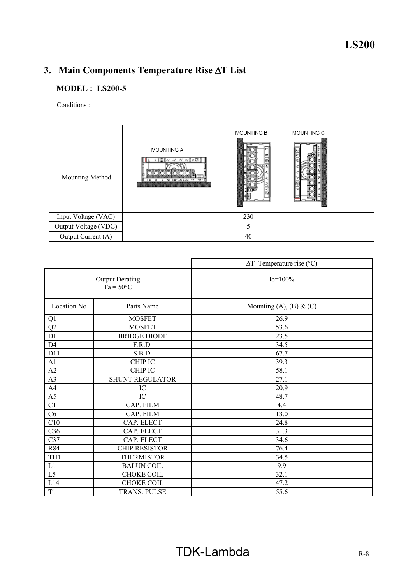# 3. Main Components Temperature Rise  $\Delta T$  List

# **MODEL : LS200-5**

Conditions :

| Mounting Method      | <b>MOUNTING A</b><br>$N(\bigcircled{})[N \rightarrow V + V + V](V \circled{S})$<br>,,,,,,,,,,,,,,,,,,,,,,,,,,,,,,,,,,, | <b>MOUNTING B</b> | MOUNTING C |  |
|----------------------|------------------------------------------------------------------------------------------------------------------------|-------------------|------------|--|
| Input Voltage (VAC)  |                                                                                                                        | 230               |            |  |
| Output Voltage (VDC) |                                                                                                                        |                   |            |  |
| Output Current (A)   |                                                                                                                        | 40                |            |  |

|                 |                                              | $\Delta T$ Temperature rise (°C) |
|-----------------|----------------------------------------------|----------------------------------|
|                 | <b>Output Derating</b><br>$Ta = 50^{\circ}C$ | $Io=100\%$                       |
| Location No     | Parts Name                                   | Mounting $(A)$ , $(B)$ & $(C)$   |
| Q1              | <b>MOSFET</b>                                | 26.9                             |
| Q2              | <b>MOSFET</b>                                | 53.6                             |
| D1              | <b>BRIDGE DIODE</b>                          | 23.5                             |
| D <sub>4</sub>  | F.R.D.                                       | 34.5                             |
| D11             | S.B.D.                                       | 67.7                             |
| A1              | <b>CHIP IC</b>                               | 39.3                             |
| A2              | <b>CHIP IC</b>                               | 58.1                             |
| A3              | <b>SHUNT REGULATOR</b>                       | 27.1                             |
| A4              | IC                                           | 20.9                             |
| A <sub>5</sub>  | IC                                           | 48.7                             |
| C1              | CAP. FILM                                    | 4.4                              |
| C6              | CAP. FILM                                    | 13.0                             |
| C10             | CAP. ELECT                                   | 24.8                             |
| C36             | CAP. ELECT                                   | 31.3                             |
| C37             | CAP. ELECT                                   | 34.6                             |
| R84             | <b>CHIP RESISTOR</b>                         | 76.4                             |
| TH <sub>1</sub> | <b>THERMISTOR</b>                            | 34.5                             |
| L1              | <b>BALUN COIL</b>                            | 9.9                              |
| L5              | CHOKE COIL                                   | 32.1                             |
| L14             | <b>CHOKE COIL</b>                            | 47.2                             |
| T <sub>1</sub>  | <b>TRANS. PULSE</b>                          | 55.6                             |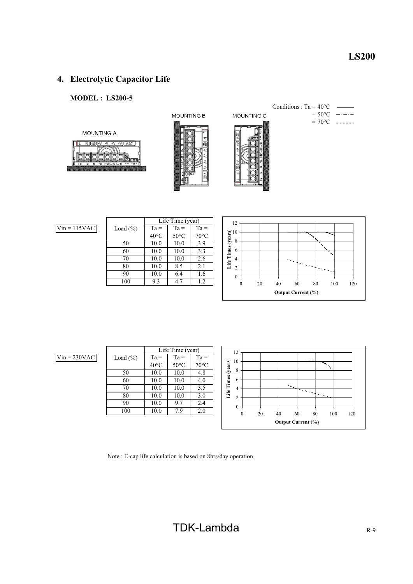# **4. Electrolytic Capacitor Life**

# **MODEL : LS200-5**



MOUNTING B



Conditions :  $Ta = 40^{\circ}C$  $= 50^{\circ}$ C بالمستحدث

 $= 70^{\circ}$ C ------



MOUNTING C

 $Vin = 115$ VAC

|              | Life Time (year) |                |                |  |  |  |  |  |  |  |
|--------------|------------------|----------------|----------------|--|--|--|--|--|--|--|
| Load $(\% )$ | $Ta =$           | $Ta =$         | $Ta =$         |  |  |  |  |  |  |  |
|              | $40^{\circ}$ C   | $50^{\circ}$ C | $70^{\circ}$ C |  |  |  |  |  |  |  |
| 50           | 10.0             | 10.0           | 3.9            |  |  |  |  |  |  |  |
| 60           | 10.0             | 10.0           | 3.3            |  |  |  |  |  |  |  |
| 70           | 10.0             | 10.0           | 2.6            |  |  |  |  |  |  |  |
| 80           | 10.0             | 8.5            | 2.1            |  |  |  |  |  |  |  |
| 90           | 10.0             | 6.4            | 1.6            |  |  |  |  |  |  |  |
| 100          | 9.3              | 4.7            | 1.2            |  |  |  |  |  |  |  |
|              |                  |                |                |  |  |  |  |  |  |  |



 $Vin = 230VAC$ 

|              | Life Time (year) |                |                |  |  |  |  |  |  |  |
|--------------|------------------|----------------|----------------|--|--|--|--|--|--|--|
| Load $(\% )$ | $Ta =$           | $Ta =$         | $Ta =$         |  |  |  |  |  |  |  |
|              | $40^{\circ}$ C   | $50^{\circ}$ C | $70^{\circ}$ C |  |  |  |  |  |  |  |
| 50           | 10.0             | 10.0           | 4.8            |  |  |  |  |  |  |  |
| 60           | 10.0             | 10.0           | 4.0            |  |  |  |  |  |  |  |
| 70           | 10.0             | 10.0           | 3.5            |  |  |  |  |  |  |  |
| 80           | 10.0             | 10.0           | 3.0            |  |  |  |  |  |  |  |
| 90           | 10.0             | 9.7            | 2.4            |  |  |  |  |  |  |  |
| 100          | 10.0             | 7.9            | 2.0            |  |  |  |  |  |  |  |
|              |                  |                |                |  |  |  |  |  |  |  |



Note : E-cap life calculation is based on 8hrs/day operation.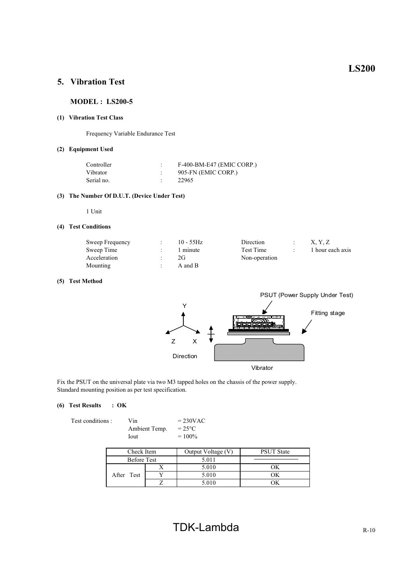# **5. Vibration Test**

#### **MODEL : LS200-5**

#### **(1) Vibration Test Class**

Frequency Variable Endurance Test

#### **(2) Equipment Used**

| Controller | F-400-BM-E47 (EMIC CORP.) |
|------------|---------------------------|
| Vibrator   | 905-FN (EMIC CORP.)       |
| Serial no. | 22965                     |

#### **(3) The Number Of D.U.T. (Device Under Test)**

1 Unit

#### **(4) Test Conditions**

| Sweep Frequency | $10 - 55$ Hz | Direction     | X. Y. Z          |
|-----------------|--------------|---------------|------------------|
| Sweep Time      | 1 minute     | Test Time     | 1 hour each axis |
| Acceleration    | 2G           | Non-operation |                  |
| Mounting        | A and B      |               |                  |

#### **(5) Test Method**



Fix the PSUT on the universal plate via two M3 tapped holes on the chassis of the power supply. Standard mounting position as per test specification.

#### **(6) Test Results : OK**

| Fest conditions : |  |
|-------------------|--|
|                   |  |

Vin  $= 230 \text{VAC}$ <br>Ambient Temp.  $= 25 \text{°C}$ Ambient Temp.<br>Iout  $= 100\%$ 

| Check Item         |  | Output Voltage (V) | <b>PSUT State</b> |  |  |  |
|--------------------|--|--------------------|-------------------|--|--|--|
| <b>Before Test</b> |  | 5.011              |                   |  |  |  |
|                    |  | 5.010              |                   |  |  |  |
| After Test         |  | 5.010              |                   |  |  |  |
|                    |  | 5.010              |                   |  |  |  |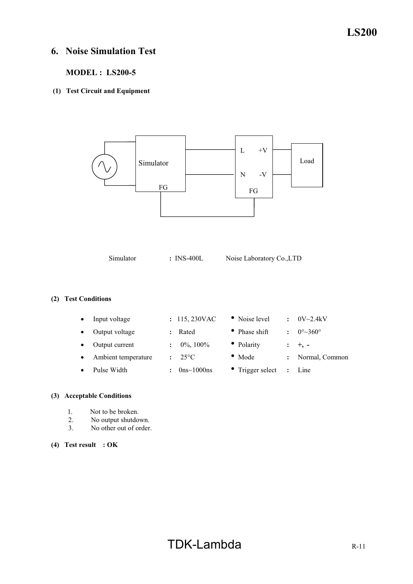# **6. Noise Simulation Test**

# **MODEL : LS200-5**

## **(1) Test Circuit and Equipment**

 $L +V$ N -V FG Simulator | Load FG

Simulator **:** INS-400L Noise Laboratory Co.,LTD

## **(2) Test Conditions**

| Input voltage       | : 115,230VAC    | • Noise level            | $\ddot{\phantom{a}}$ | $0V \sim 2.4kV$                   |
|---------------------|-----------------|--------------------------|----------------------|-----------------------------------|
| Output voltage      | Rated           | • Phase shift            |                      | $0^{\circ}$ $\sim$ 360 $^{\circ}$ |
| Output current      | $0\%$ , $100\%$ | • Polarity               |                      | $+$ , $-$                         |
| Ambient temperature | $25^{\circ}$ C  | $\bullet$ Mode           |                      | Normal, Common                    |
| Pulse Width         | $0$ ns~1000ns   | $\bullet$ Trigger select | $\ddot{\phantom{a}}$ | Line                              |
|                     |                 |                          |                      |                                   |

# **(3) Acceptable Conditions**

- 1. Not to be broken.<br>2. No output shutdo
- 2. No output shutdown.<br>3. No other out of order
- No other out of order.
- **(4) Test result : OK**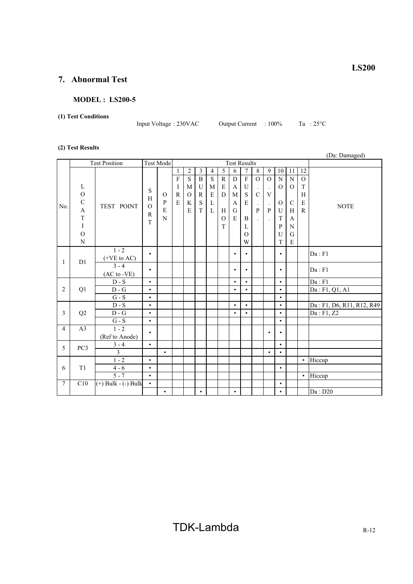# **7. Abnormal Test**

## **MODEL : LS200-5**

## **(1) Test Conditions**

Input Voltage : 230VAC Output Current : 100% Ta : 25°C

#### **(2) Test Results**

|                |                                                                                               |                             |                                         |                                    |                                                          |                                                             |                                                                      |                                                                 |                                                |                                         |                                                                       |                                                                                                               |                                                                                      |                                                                 |                                                                  |                                                               | (Da: Damaged)             |
|----------------|-----------------------------------------------------------------------------------------------|-----------------------------|-----------------------------------------|------------------------------------|----------------------------------------------------------|-------------------------------------------------------------|----------------------------------------------------------------------|-----------------------------------------------------------------|------------------------------------------------|-----------------------------------------|-----------------------------------------------------------------------|---------------------------------------------------------------------------------------------------------------|--------------------------------------------------------------------------------------|-----------------------------------------------------------------|------------------------------------------------------------------|---------------------------------------------------------------|---------------------------|
|                |                                                                                               | <b>Test Position</b>        |                                         | <b>Test Mode</b>                   |                                                          |                                                             |                                                                      |                                                                 |                                                | <b>Test Results</b>                     |                                                                       |                                                                                                               |                                                                                      |                                                                 |                                                                  |                                                               |                           |
| No.            | L<br>$\overline{O}$<br>$\mathbf C$<br>$\mathbf{A}$<br>$\mathbf T$<br>$\rm I$<br>$\mathcal{O}$ | TEST POINT                  | S<br>H<br>$\Omega$<br>$\mathbb{R}$<br>T | $\Omega$<br>$\, {\bf P}$<br>E<br>N | $\mathbf{1}$<br>$\overline{F}$<br>I<br>$\mathbb{R}$<br>E | $\overline{2}$<br>$\overline{S}$<br>M<br>$\Omega$<br>K<br>E | 3<br>$\, {\bf B}$<br>$\mathbf U$<br>$\mathbb{R}$<br>$\mathbf S$<br>T | 4<br>$\overline{S}$<br>M<br>$\mathbf E$<br>$\Gamma$<br>$\Gamma$ | 5<br>${\bf R}$<br>E<br>D<br>H<br>$\Omega$<br>T | 6<br>${\bf D}$<br>A<br>M<br>A<br>G<br>E | $\overline{7}$<br>$\overline{F}$<br>U<br>S<br>E<br>B<br>L<br>$\Omega$ | 8<br>$\overline{O}$<br>$\ddot{\phantom{a}}$<br>$\mathbf C$<br>$\cdot$<br>$\mathbf{P}$<br>$\ddot{\phantom{a}}$ | 9<br>$\Omega$<br>$\ddot{\phantom{0}}$<br>$\boldsymbol{\mathrm{V}}$<br>$\bullet$<br>P | 10<br>${\bf N}$<br>$\Omega$<br>$\mathbf{O}$<br>U<br>T<br>P<br>U | 11<br>${\bf N}$<br>$\Omega$<br>$\mathcal{C}$<br>H<br>A<br>N<br>G | 12<br>$\overline{O}$<br>T<br>H<br>$\mathbf E$<br>$\mathbb{R}$ | <b>NOTE</b>               |
|                | N                                                                                             |                             |                                         |                                    |                                                          |                                                             |                                                                      |                                                                 |                                                |                                         | W                                                                     |                                                                                                               |                                                                                      | T                                                               | $\mathbf E$                                                      |                                                               |                           |
| 1              | D1                                                                                            | $1 - 2$<br>$(+VE to AC)$    | $\bullet$                               |                                    |                                                          |                                                             |                                                                      |                                                                 |                                                | $\bullet$                               | $\bullet$                                                             |                                                                                                               |                                                                                      | $\bullet$                                                       |                                                                  |                                                               | Da : F1                   |
|                |                                                                                               | $3 - 4$<br>$(AC to -VE)$    | $\bullet$                               |                                    |                                                          |                                                             |                                                                      |                                                                 |                                                | $\bullet$                               | $\bullet$                                                             |                                                                                                               |                                                                                      | $\bullet$                                                       |                                                                  |                                                               | Da : F1                   |
|                |                                                                                               | $\mathbf{D}$ - $\mathbf{S}$ | $\bullet$                               |                                    |                                                          |                                                             |                                                                      |                                                                 |                                                | $\bullet$                               | $\bullet$                                                             |                                                                                                               |                                                                                      | $\bullet$                                                       |                                                                  |                                                               | Da : F1                   |
| $\overline{2}$ | Q1                                                                                            | $\mathbf{D}$ - $\mathbf{G}$ | $\bullet$                               |                                    |                                                          |                                                             |                                                                      |                                                                 |                                                | $\bullet$                               | $\bullet$                                                             |                                                                                                               |                                                                                      | $\bullet$                                                       |                                                                  |                                                               | Da: F1, Q1, A1            |
|                |                                                                                               | $G-S$                       | $\bullet$                               |                                    |                                                          |                                                             |                                                                      |                                                                 |                                                |                                         |                                                                       |                                                                                                               |                                                                                      | $\bullet$                                                       |                                                                  |                                                               |                           |
|                |                                                                                               | $D-S$                       | $\bullet$                               |                                    |                                                          |                                                             |                                                                      |                                                                 |                                                | $\bullet$                               | $\bullet$                                                             |                                                                                                               |                                                                                      | $\bullet$                                                       |                                                                  |                                                               | Da: F1, D6, R11, R12, R49 |
| 3              | Q2                                                                                            | $D - G$                     | $\bullet$                               |                                    |                                                          |                                                             |                                                                      |                                                                 |                                                | $\bullet$                               | $\bullet$                                                             |                                                                                                               |                                                                                      | $\bullet$                                                       |                                                                  |                                                               | Da: F1, Z2                |
|                |                                                                                               | $G - S$                     | $\bullet$                               |                                    |                                                          |                                                             |                                                                      |                                                                 |                                                |                                         |                                                                       |                                                                                                               |                                                                                      | $\bullet$                                                       |                                                                  |                                                               |                           |
| $\overline{4}$ | A <sub>3</sub>                                                                                | $1 - 2$<br>(Ref to Anode)   | $\bullet$                               |                                    |                                                          |                                                             |                                                                      |                                                                 |                                                |                                         |                                                                       |                                                                                                               | $\bullet$                                                                            | $\bullet$                                                       |                                                                  |                                                               |                           |
|                |                                                                                               | $3 - 4$                     | $\bullet$                               |                                    |                                                          |                                                             |                                                                      |                                                                 |                                                |                                         |                                                                       |                                                                                                               |                                                                                      | $\bullet$                                                       |                                                                  |                                                               |                           |
| 5              | PC <sub>3</sub>                                                                               | 3                           |                                         | $\bullet$                          |                                                          |                                                             |                                                                      |                                                                 |                                                |                                         |                                                                       |                                                                                                               | $\bullet$                                                                            | $\bullet$                                                       |                                                                  |                                                               |                           |
|                |                                                                                               | $1 - 2$                     | $\bullet$                               |                                    |                                                          |                                                             |                                                                      |                                                                 |                                                |                                         |                                                                       |                                                                                                               |                                                                                      |                                                                 |                                                                  | $\bullet$                                                     | Hiccup                    |
| 6              | T1                                                                                            | $4 - 6$                     | $\bullet$                               |                                    |                                                          |                                                             |                                                                      |                                                                 |                                                |                                         |                                                                       |                                                                                                               |                                                                                      | $\bullet$                                                       |                                                                  |                                                               |                           |
|                |                                                                                               | $5 - 7$                     | $\bullet$                               |                                    |                                                          |                                                             |                                                                      |                                                                 |                                                |                                         |                                                                       |                                                                                                               |                                                                                      |                                                                 |                                                                  | $\bullet$                                                     | Hiccup                    |
| $\tau$         | C10                                                                                           | $(+)$ Bulk $ (-)$ Bulk      | $\bullet$                               |                                    |                                                          |                                                             |                                                                      |                                                                 |                                                |                                         |                                                                       |                                                                                                               |                                                                                      | $\bullet$                                                       |                                                                  |                                                               |                           |
|                |                                                                                               |                             |                                         | $\bullet$                          |                                                          |                                                             | $\bullet$                                                            |                                                                 |                                                | $\bullet$                               |                                                                       |                                                                                                               |                                                                                      | $\bullet$                                                       |                                                                  |                                                               | Da: D20                   |

**LS200**